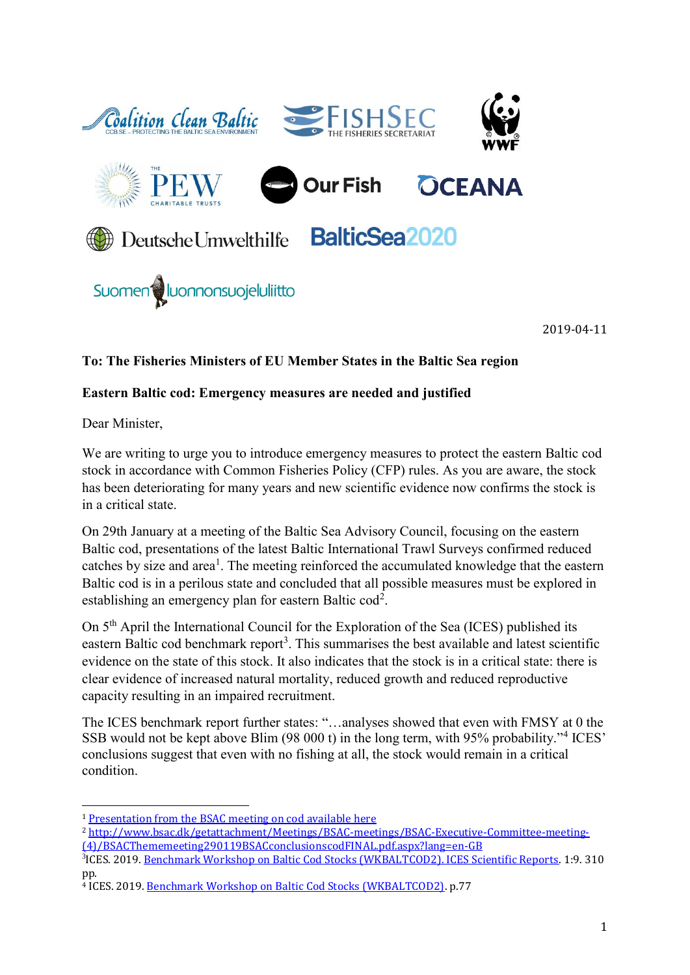

2019-04-11

## **To: The Fisheries Ministers of EU Member States in the Baltic Sea region**

### **Eastern Baltic cod: Emergency measures are needed and justified**

Dear Minister,

.<br>-

We are writing to urge you to introduce emergency measures to protect the eastern Baltic cod stock in accordance with Common Fisheries Policy (CFP) rules. As you are aware, the stock has been deteriorating for many years and new scientific evidence now confirms the stock is in a critical state.

On 29th January at a meeting of the Baltic Sea Advisory Council, focusing on the eastern Baltic cod, presentations of the latest Baltic International Trawl Surveys confirmed reduced catches by size and area<sup>1</sup>. The meeting reinforced the accumulated knowledge that the eastern Baltic cod is in a perilous state and concluded that all possible measures must be explored in establishing an emergency plan for eastern Baltic  $\text{cod}^2$ .

On 5th April the International Council for the Exploration of the Sea (ICES) published its eastern Baltic cod benchmark report<sup>3</sup>. This summarises the best available and latest scientific evidence on the state of this stock. It also indicates that the stock is in a critical state: there is clear evidence of increased natural mortality, reduced growth and reduced reproductive capacity resulting in an impaired recruitment.

The ICES benchmark report further states: "…analyses showed that even with FMSY at 0 the SSB would not be kept above Blim (98 000 t) in the long term, with 95% probability."<sup>4</sup> ICES' conclusions suggest that even with no fishing at all, the stock would remain in a critical condition.

<sup>1</sup> [Presentation from the BSAC meeting on cod available here](http://www.bsac.dk/getattachment/Meetings/BSAC-meetings/BSAC-Executive-Committee-meeting-(4)/BSAC_new-surveyMSP-(1).pdf.aspx?lang=en-GB)

<sup>2</sup> [http://www.bsac.dk/getattachment/Meetings/BSAC-meetings/BSAC-Executive-Committee-meeting-](http://www.bsac.dk/getattachment/Meetings/BSAC-meetings/BSAC-Executive-Committee-meeting-(4)/BSACThememeeting290119BSACconclusionscodFINAL.pdf.aspx?lang=en-GB) [\(4\)/BSACThememeeting290119BSACconclusionscodFINAL.pdf.aspx?lang=en-GB](http://www.bsac.dk/getattachment/Meetings/BSAC-meetings/BSAC-Executive-Committee-meeting-(4)/BSACThememeeting290119BSACconclusionscodFINAL.pdf.aspx?lang=en-GB)

<sup>3</sup> ICES. 2019. [Benchmark Workshop on Baltic Cod Stocks \(WKBALTCOD2\). ICES Scientific Reports.](http://www.ices.dk/sites/pub/Publication%20Reports/Expert%20Group%20Report/acom/2019/WKBALTCOD2/WKBALTCOD2%202019.pdf) 1:9. 310 pp.

<sup>4</sup> ICES. 2019. [Benchmark Workshop on Baltic Cod Stocks \(WKBALTCOD2\).](http://ices.dk/sites/pub/Publication%20Reports/Expert%20Group%20Report/acom/2019/WKBALTCOD2/WKBALTCOD2%202019.pdf) p.77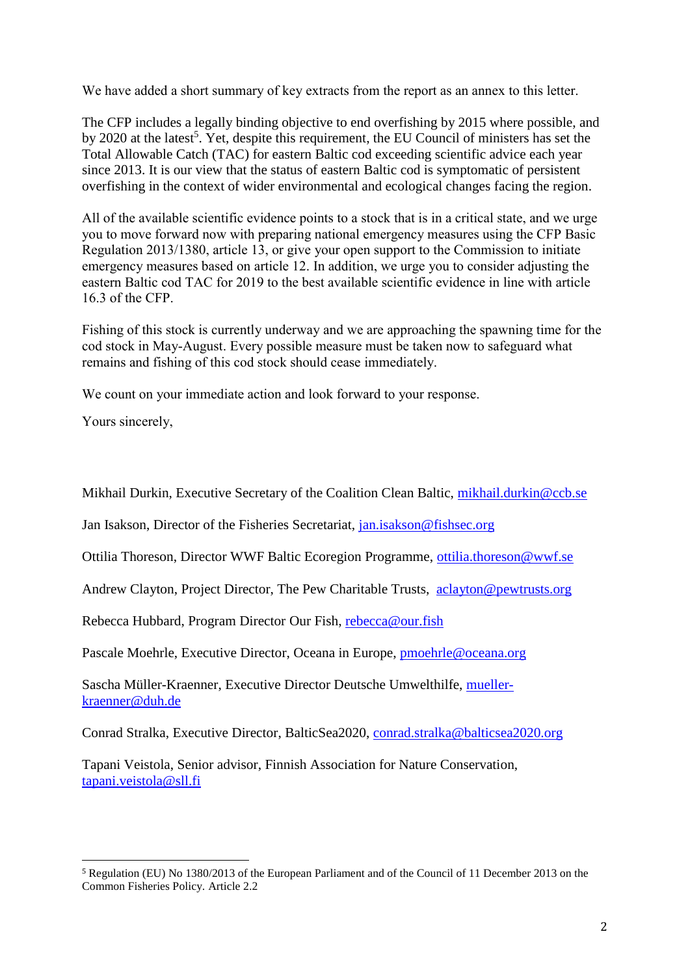We have added a short summary of key extracts from the report as an annex to this letter.

The CFP includes a legally binding objective to end overfishing by 2015 where possible, and by 2020 at the latest<sup>5</sup>. Yet, despite this requirement, the EU Council of ministers has set the Total Allowable Catch (TAC) for eastern Baltic cod exceeding scientific advice each year since 2013. It is our view that the status of eastern Baltic cod is symptomatic of persistent overfishing in the context of wider environmental and ecological changes facing the region.

All of the available scientific evidence points to a stock that is in a critical state, and we urge you to move forward now with preparing national emergency measures using the CFP Basic Regulation 2013/1380, article 13, or give your open support to the Commission to initiate emergency measures based on article 12. In addition, we urge you to consider adjusting the eastern Baltic cod TAC for 2019 to the best available scientific evidence in line with article 16.3 of the CFP.

Fishing of this stock is currently underway and we are approaching the spawning time for the cod stock in May-August. Every possible measure must be taken now to safeguard what remains and fishing of this cod stock should cease immediately.

We count on your immediate action and look forward to your response.

Yours sincerely,

-

Mikhail Durkin, Executive Secretary of the Coalition Clean Baltic, [mikhail.durkin@ccb.se](mailto:mikhail.durkin@ccb.se)

Jan Isakson, Director of the Fisheries Secretariat, [jan.isakson@fishsec.org](mailto:jan.isakson@fishsec.org)

Ottilia Thoreson, Director WWF Baltic Ecoregion Programme, [ottilia.thoreson@wwf.se](mailto:ottilia.thoreson@wwf.se)

Andrew Clayton, Project Director, The Pew Charitable Trusts, aclayton@pewtrusts.org

Rebecca Hubbard, Program Director Our Fish, [rebecca@our.fish](mailto:rebecca@our.fish)

Pascale Moehrle, Executive Director, Oceana in Europe, [pmoehrle@oceana.org](mailto:pmoehrle@oceana.org)

Sascha Müller-Kraenner, Executive Director Deutsche Umwelthilfe, [mueller](mailto:mueller-kraenner@duh.de)[kraenner@duh.de](mailto:mueller-kraenner@duh.de)

Conrad Stralka, Executive Director, BalticSea2020, [conrad.stralka@balticsea2020.org](mailto:conrad.stralka@balticsea2020.org)

Tapani Veistola, Senior advisor, Finnish Association for Nature Conservation, [tapani.veistola@sll.fi](mailto:tapani.veistola@sll.fi)

<sup>5</sup> Regulation (EU) No 1380/2013 of the European Parliament and of the Council of 11 December 2013 on the Common Fisheries Policy. Article 2.2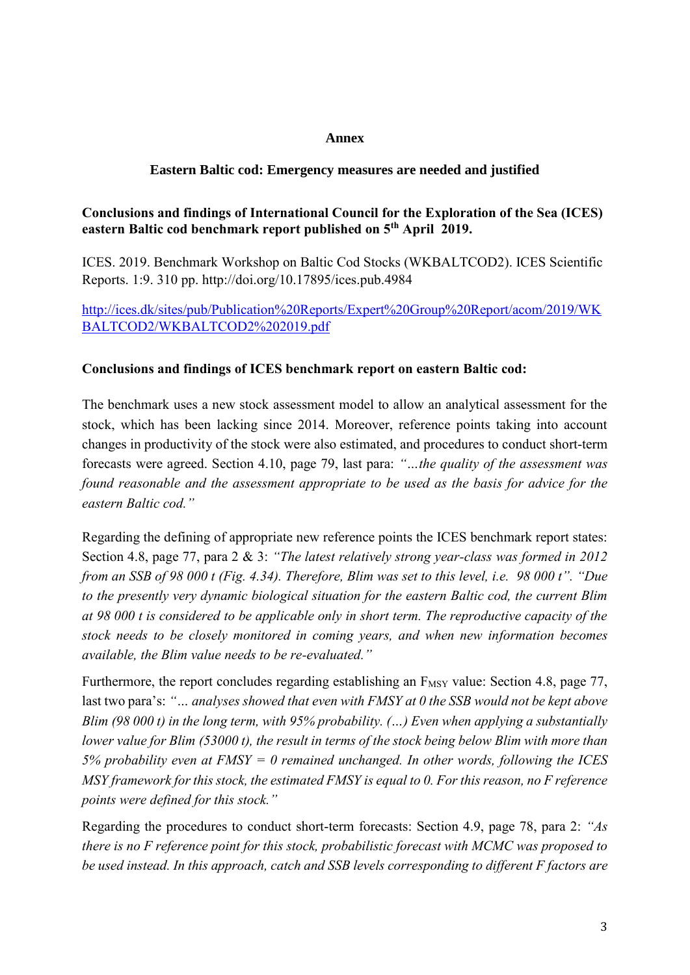### **Annex**

## **Eastern Baltic cod: Emergency measures are needed and justified**

# **Conclusions and findings of International Council for the Exploration of the Sea (ICES) eastern Baltic cod benchmark report published on 5th April 2019.**

ICES. 2019. Benchmark Workshop on Baltic Cod Stocks (WKBALTCOD2). ICES Scientific Reports. 1:9. 310 pp. http://doi.org/10.17895/ices.pub.4984

[http://ices.dk/sites/pub/Publication%20Reports/Expert%20Group%20Report/acom/2019/WK](http://ices.dk/sites/pub/Publication%20Reports/Expert%20Group%20Report/acom/2019/WKBALTCOD2/WKBALTCOD2%202019.pdf) [BALTCOD2/WKBALTCOD2%202019.pdf](http://ices.dk/sites/pub/Publication%20Reports/Expert%20Group%20Report/acom/2019/WKBALTCOD2/WKBALTCOD2%202019.pdf)

#### **Conclusions and findings of ICES benchmark report on eastern Baltic cod:**

The benchmark uses a new stock assessment model to allow an analytical assessment for the stock, which has been lacking since 2014. Moreover, reference points taking into account changes in productivity of the stock were also estimated, and procedures to conduct short-term forecasts were agreed. Section 4.10, page 79, last para: *"…the quality of the assessment was found reasonable and the assessment appropriate to be used as the basis for advice for the eastern Baltic cod."*

Regarding the defining of appropriate new reference points the ICES benchmark report states: Section 4.8, page 77, para 2 & 3: *"The latest relatively strong year-class was formed in 2012 from an SSB of 98 000 t (Fig. 4.34). Therefore, Blim was set to this level, i.e. 98 000 t". "Due to the presently very dynamic biological situation for the eastern Baltic cod, the current Blim at 98 000 t is considered to be applicable only in short term. The reproductive capacity of the stock needs to be closely monitored in coming years, and when new information becomes available, the Blim value needs to be re-evaluated."*

Furthermore, the report concludes regarding establishing an  $F_{MSY}$  value: Section 4.8, page 77, last two para's: *"… analyses showed that even with FMSY at 0 the SSB would not be kept above Blim (98 000 t) in the long term, with 95% probability. (…) Even when applying a substantially lower value for Blim (53000 t), the result in terms of the stock being below Blim with more than 5% probability even at FMSY = 0 remained unchanged. In other words, following the ICES MSY framework for this stock, the estimated FMSY is equal to 0. For this reason, no F reference points were defined for this stock."*

Regarding the procedures to conduct short-term forecasts: Section 4.9, page 78, para 2: *"As there is no F reference point for this stock, probabilistic forecast with MCMC was proposed to be used instead. In this approach, catch and SSB levels corresponding to different F factors are*